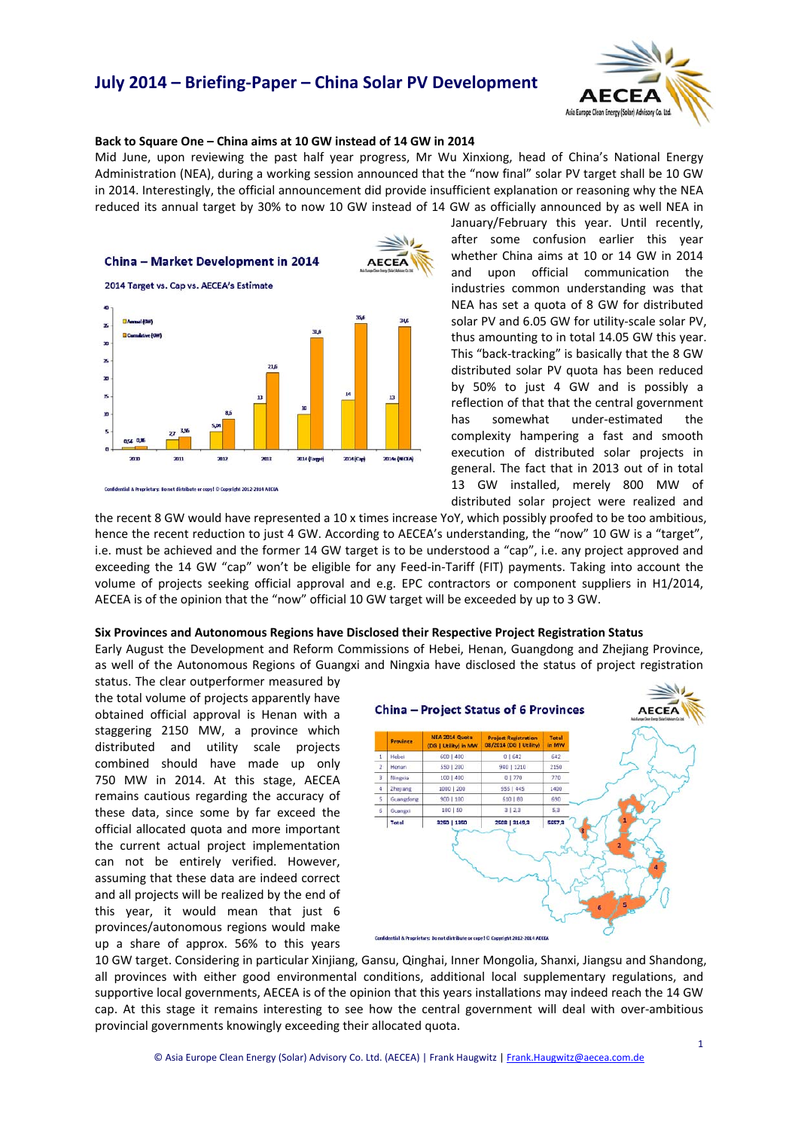# **July 2014 – Briefing‐Paper – China Solar PV Development**



### **Back to Square One – China aims at 10 GW instead of 14 GW in 2014**

Mid June, upon reviewing the past half year progress, Mr Wu Xinxiong, head of China's National Energy Administration (NEA), during a working session announced that the "now final" solar PV target shall be 10 GW in 2014. Interestingly, the official announcement did provide insufficient explanation or reasoning why the NEA reduced its annual target by 30% to now 10 GW instead of 14 GW as officially announced by as well NEA in



January/February this year. Until recently, after some confusion earlier this year whether China aims at 10 or 14 GW in 2014 and upon official communication the industries common understanding was that NEA has set a quota of 8 GW for distributed solar PV and 6.05 GW for utility-scale solar PV, thus amounting to in total 14.05 GW this year. This "back‐tracking" is basically that the 8 GW distributed solar PV quota has been reduced by 50% to just 4 GW and is possibly a reflection of that that the central government has somewhat under-estimated the complexity hampering a fast and smooth execution of distributed solar projects in general. The fact that in 2013 out of in total 13 GW installed, merely 800 MW of distributed solar project were realized and

the recent 8 GW would have represented a 10 x times increase YoY, which possibly proofed to be too ambitious, hence the recent reduction to just 4 GW. According to AECEA's understanding, the "now" 10 GW is a "target", i.e. must be achieved and the former 14 GW target is to be understood a "cap", i.e. any project approved and exceeding the 14 GW "cap" won't be eligible for any Feed-in-Tariff (FIT) payments. Taking into account the volume of projects seeking official approval and e.g. EPC contractors or component suppliers in H1/2014, AECEA is of the opinion that the "now" official 10 GW target will be exceeded by up to 3 GW.

#### **Six Provinces and Autonomous Regions have Disclosed their Respective Project Registration Status**

Early August the Development and Reform Commissions of Hebei, Henan, Guangdong and Zhejiang Province, as well of the Autonomous Regions of Guangxi and Ningxia have disclosed the status of project registration

status. The clear outperformer measured by the total volume of projects apparently have obtained official approval is Henan with a staggering 2150 MW, a province which distributed and utility scale projects combined should have made up only 750 MW in 2014. At this stage, AECEA remains cautious regarding the accuracy of these data, since some by far exceed the official allocated quota and more important the current actual project implementation can not be entirely verified. However, assuming that these data are indeed correct and all projects will be realized by the end of this year, it would mean that just 6 provinces/autonomous regions would make up a share of approx. 56% to this years



10 GW target. Considering in particular Xinjiang, Gansu, Qinghai, Inner Mongolia, Shanxi, Jiangsu and Shandong, all provinces with either good environmental conditions, additional local supplementary regulations, and supportive local governments, AECEA is of the opinion that this years installations may indeed reach the 14 GW cap. At this stage it remains interesting to see how the central government will deal with over‐ambitious provincial governments knowingly exceeding their allocated quota.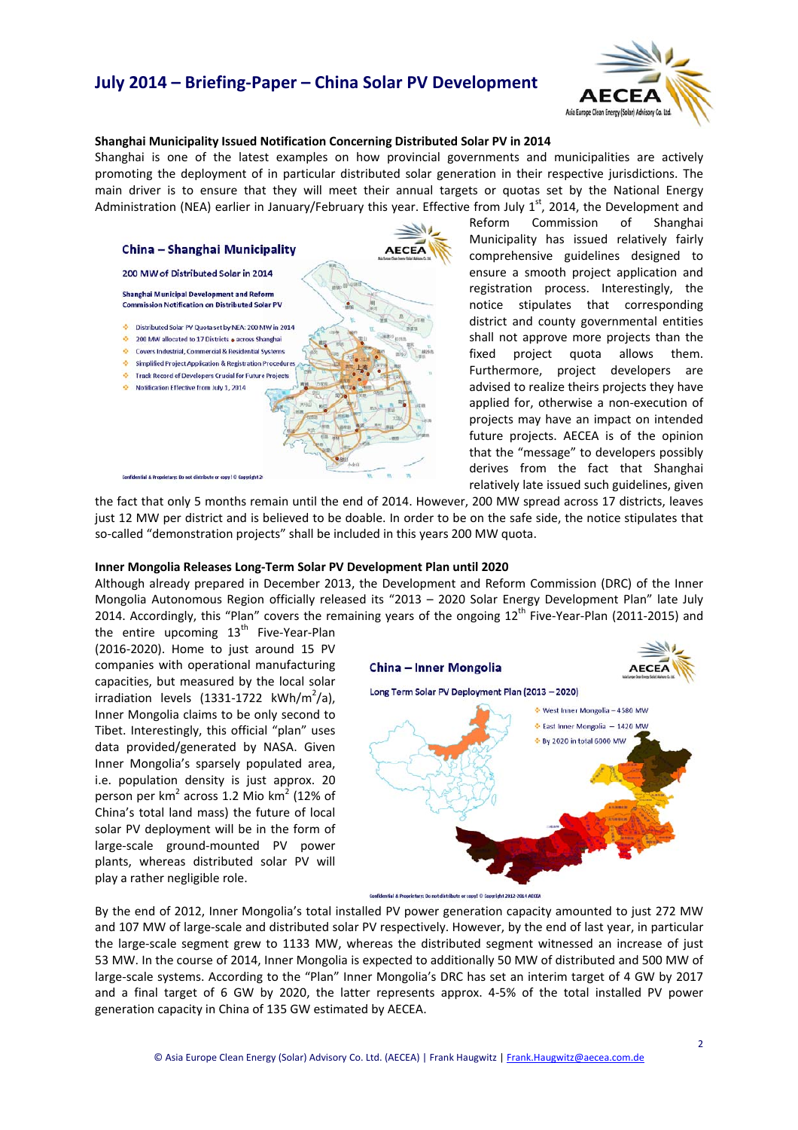# **July 2014 – Briefing‐Paper – China Solar PV Development**



### **Shanghai Municipality Issued Notification Concerning Distributed Solar PV in 2014**

Shanghai is one of the latest examples on how provincial governments and municipalities are actively promoting the deployment of in particular distributed solar generation in their respective jurisdictions. The main driver is to ensure that they will meet their annual targets or quotas set by the National Energy Administration (NEA) earlier in January/February this year. Effective from July  $1<sup>st</sup>$ , 2014, the Development and



Reform Commission of Shanghai Municipality has issued relatively fairly comprehensive guidelines designed to ensure a smooth project application and registration process. Interestingly, the notice stipulates that corresponding district and county governmental entities shall not approve more projects than the fixed project quota allows them. Furthermore, project developers are advised to realize theirs projects they have applied for, otherwise a non‐execution of projects may have an impact on intended future projects. AECEA is of the opinion that the "message" to developers possibly derives from the fact that Shanghai relatively late issued such guidelines, given

the fact that only 5 months remain until the end of 2014. However, 200 MW spread across 17 districts, leaves just 12 MW per district and is believed to be doable. In order to be on the safe side, the notice stipulates that so-called "demonstration projects" shall be included in this years 200 MW quota.

#### **Inner Mongolia Releases Long‐Term Solar PV Development Plan until 2020**

Although already prepared in December 2013, the Development and Reform Commission (DRC) of the Inner Mongolia Autonomous Region officially released its "2013 – 2020 Solar Energy Development Plan" late July 2014. Accordingly, this "Plan" covers the remaining years of the ongoing 12<sup>th</sup> Five-Year-Plan (2011-2015) and

the entire upcoming  $13<sup>th</sup>$  Five-Year-Plan (2016‐2020). Home to just around 15 PV companies with operational manufacturing capacities, but measured by the local solar irradiation levels (1331-1722 kWh/m<sup>2</sup>/a), Inner Mongolia claims to be only second to Tibet. Interestingly, this official "plan" uses data provided/generated by NASA. Given Inner Mongolia's sparsely populated area, i.e. population density is just approx. 20 person per  $km^2$  across 1.2 Mio  $km^2$  (12% of China's total land mass) the future of local solar PV deployment will be in the form of large‐scale ground‐mounted PV power plants, whereas distributed solar PV will play a rather negligible role.



By the end of 2012, Inner Mongolia's total installed PV power generation capacity amounted to just 272 MW and 107 MW of large‐scale and distributed solar PV respectively. However, by the end of last year, in particular the large‐scale segment grew to 1133 MW, whereas the distributed segment witnessed an increase of just 53 MW. In the course of 2014, Inner Mongolia is expected to additionally 50 MW of distributed and 500 MW of large‐scale systems. According to the "Plan" Inner Mongolia's DRC has set an interim target of 4 GW by 2017 and a final target of 6 GW by 2020, the latter represents approx. 4‐5% of the total installed PV power generation capacity in China of 135 GW estimated by AECEA.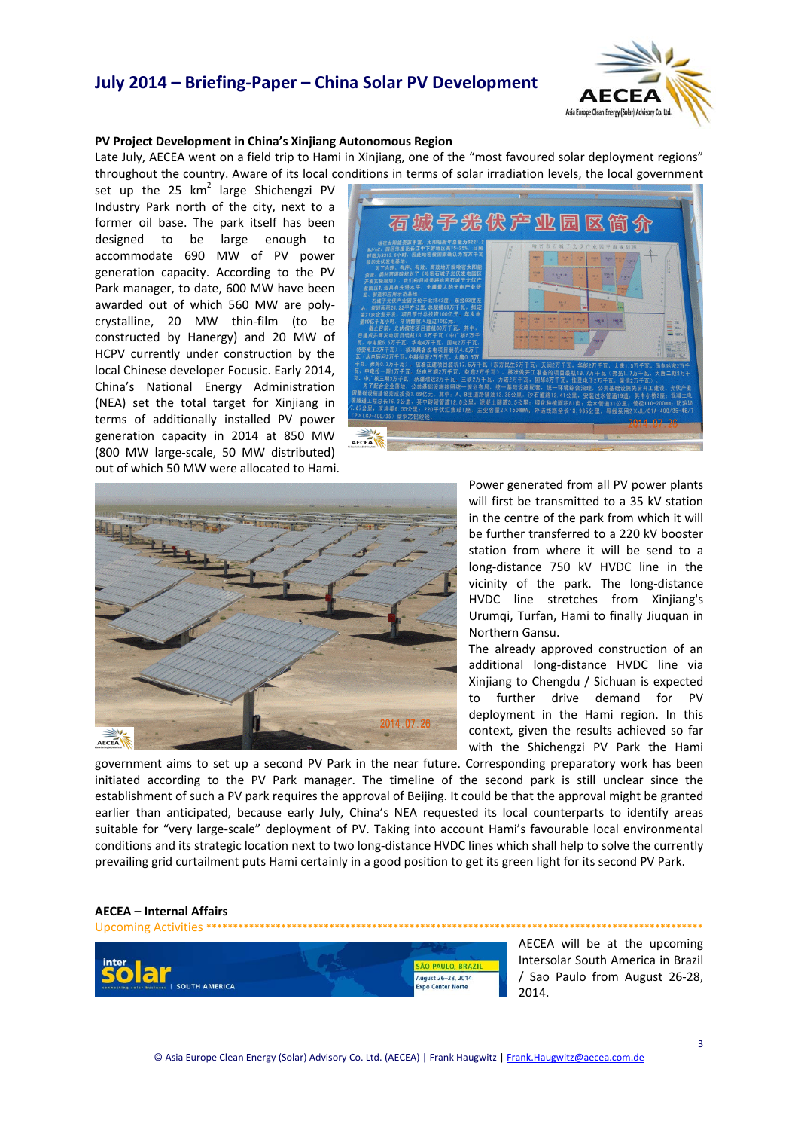### **July 2014 – Briefing‐Paper – China Solar PV Development**



### **PV Project Development in China's Xinjiang Autonomous Region**

Late July, AECEA went on a field trip to Hami in Xinjiang, one of the "most favoured solar deployment regions" throughout the country. Aware of its local conditions in terms of solar irradiation levels, the local government

set up the 25  $km^2$  large Shichengzi PV Industry Park north of the city, next to a former oil base. The park itself has been designed to be large enough to accommodate 690 MW of PV power generation capacity. According to the PV Park manager, to date, 600 MW have been awarded out of which 560 MW are poly‐ crystalline, 20 MW thin‐film (to be constructed by Hanergy) and 20 MW of HCPV currently under construction by the local Chinese developer Focusic. Early 2014, China's National Energy Administration (NEA) set the total target for Xinjiang in terms of additionally installed PV power generation capacity in 2014 at 850 MW (800 MW large‐scale, 50 MW distributed) out of which 50 MW were allocated to Hami.





Power generated from all PV power plants will first be transmitted to a 35 kV station in the centre of the park from which it will be further transferred to a 220 kV booster station from where it will be send to a long‐distance 750 kV HVDC line in the vicinity of the park. The long‐distance HVDC line stretches from Xinjiang's Urumqi, Turfan, Hami to finally Jiuquan in Northern Gansu.

The already approved construction of an additional long‐distance HVDC line via Xinjiang to Chengdu / Sichuan is expected to further drive demand for PV deployment in the Hami region. In this context, given the results achieved so far with the Shichengzi PV Park the Hami

government aims to set up a second PV Park in the near future. Corresponding preparatory work has been initiated according to the PV Park manager. The timeline of the second park is still unclear since the establishment of such a PV park requires the approval of Beijing. It could be that the approval might be granted earlier than anticipated, because early July, China's NEA requested its local counterparts to identify areas suitable for "very large-scale" deployment of PV. Taking into account Hami's favourable local environmental conditions and its strategic location next to two long‐distance HVDC lines which shall help to solve the currently prevailing grid curtailment puts Hami certainly in a good position to get its green light for its second PV Park.

### **AECEA – Internal Affairs**

Upcoming Activities **\*\*\*\*\*\*\*\*\*\*\*\*\*\*\*\*\*\*\*\*\*\*\*\*\*\*\*\*\*\*\*\*\*\*\*\*\*\*\*\*\*\*\*\*\*\*\*\*\*\*\*\*\*\*\*\*\*\*\*\*\*\*\*\*\*\*\*\*\*\*\*\*\*\*\*\*\*\*\*\*\*\*\*\*\*\*\*\*\*\*\*\*\*** ÃO PAULO, BRAZIL ugust 26-28, 2014 **SOUTH AMERICA** xpo Center Norte

AECEA will be at the upcoming Intersolar South America in Brazil / Sao Paulo from August 26‐28, 2014.